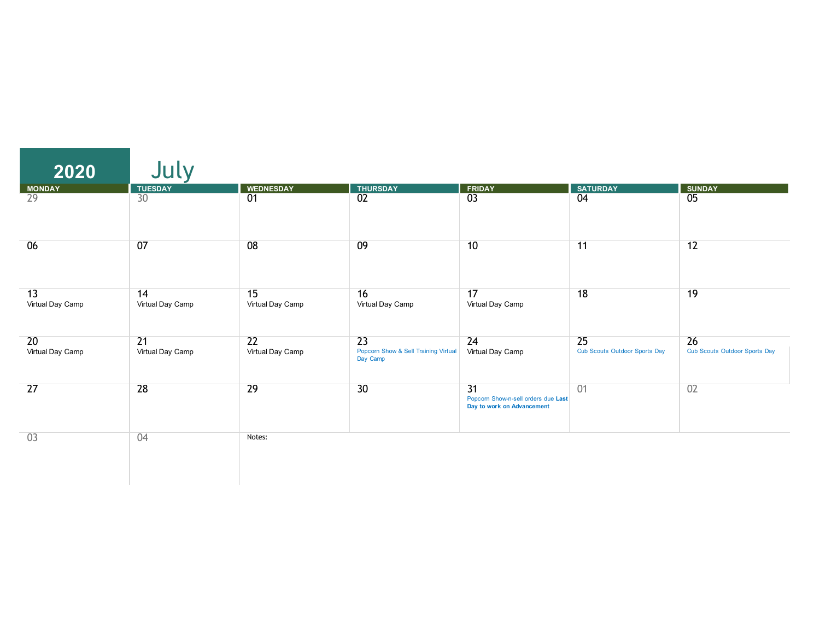| 2020                   | July                                |                        |                                                        |                                                                                      |                                            |                                            |
|------------------------|-------------------------------------|------------------------|--------------------------------------------------------|--------------------------------------------------------------------------------------|--------------------------------------------|--------------------------------------------|
| <b>MONDAY</b>          | <b>TUESDAY</b>                      | <b>WEDNESDAY</b>       | <b>THURSDAY</b>                                        | <b>FRIDAY</b>                                                                        | <b>SATURDAY</b>                            | <b>SUNDAY</b>                              |
| $\overline{29}$        | $\overline{30}$                     | $\overline{01}$        | 02                                                     | $\overline{03}$                                                                      | $\overline{04}$                            | $\overline{05}$                            |
| 06                     | 07                                  | 08                     | 09                                                     | 10                                                                                   | 11                                         | 12                                         |
| 13<br>Virtual Day Camp | 14<br>Virtual Day Camp              | 15<br>Virtual Day Camp | 16<br>Virtual Day Camp                                 | 17<br>Virtual Day Camp                                                               | 18                                         | 19                                         |
| 20<br>Virtual Day Camp | $\overline{21}$<br>Virtual Day Camp | 22<br>Virtual Day Camp | 23<br>Popcorn Show & Sell Training Virtual<br>Day Camp | 24<br>Virtual Day Camp                                                               | 25<br><b>Cub Scouts Outdoor Sports Day</b> | 26<br><b>Cub Scouts Outdoor Sports Day</b> |
| 27                     | 28                                  | 29                     | 30                                                     | $\overline{31}$<br>Popcorn Show-n-sell orders due Last<br>Day to work on Advancement | 01                                         | 02                                         |
| 03                     | 04                                  | Notes:                 |                                                        |                                                                                      |                                            |                                            |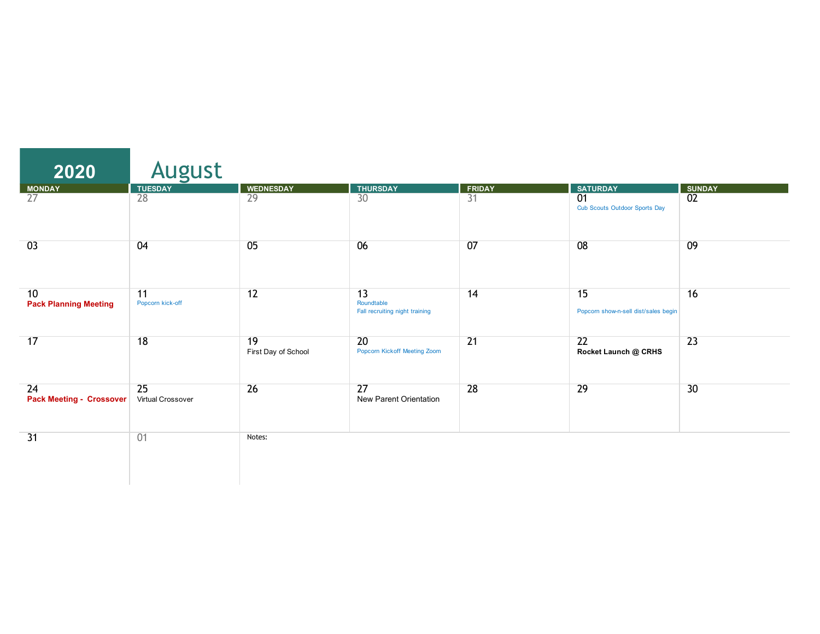| 2020                                  | August                  |                           |                                                    |                 |                                                         |                 |
|---------------------------------------|-------------------------|---------------------------|----------------------------------------------------|-----------------|---------------------------------------------------------|-----------------|
| MONDAY                                | <b>TUESDAY</b>          | <b>WEDNESDAY</b>          | <b>THURSDAY</b>                                    | <b>FRIDAY</b>   | <b>SATURDAY</b>                                         | <b>SUNDAY</b>   |
| $\overline{27}$                       | $\overline{28}$         | 29                        | 30                                                 | $\overline{31}$ | $\overline{01}$<br><b>Cub Scouts Outdoor Sports Day</b> | $\overline{02}$ |
| 03                                    | 04                      | 05                        | 06                                                 | 07              | 08                                                      | 09              |
| 10<br><b>Pack Planning Meeting</b>    | 11<br>Popcorn kick-off  | 12                        | 13<br>Roundtable<br>Fall recruiting night training | 14              | 15<br>Popcorn show-n-sell dist/sales begin              | 16              |
| 17                                    | 18                      | 19<br>First Day of School | 20<br>Popcorn Kickoff Meeting Zoom                 | $\overline{21}$ | 22<br>Rocket Launch @ CRHS                              | $\overline{23}$ |
| 24<br><b>Pack Meeting - Crossover</b> | 25<br>Virtual Crossover | $\overline{26}$           | $\overline{27}$<br>New Parent Orientation          | 28              | 29                                                      | 30              |
| $\overline{31}$                       | 01                      | Notes:                    |                                                    |                 |                                                         |                 |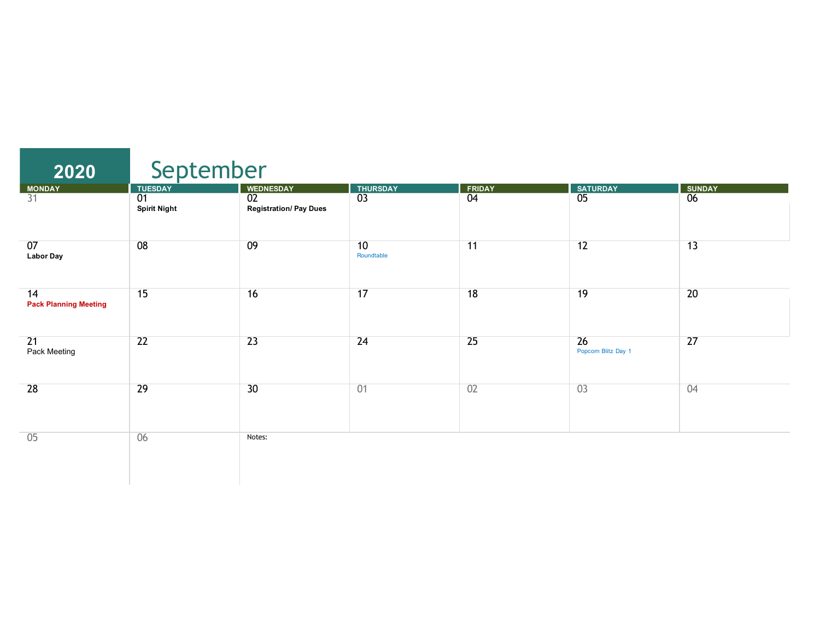| 2020                               | September                              |                                                  |                  |                 |                           |                 |  |  |
|------------------------------------|----------------------------------------|--------------------------------------------------|------------------|-----------------|---------------------------|-----------------|--|--|
| <b>MONDAY</b>                      | <b>TUESDAY</b>                         | <b>WEDNESDAY</b>                                 | <b>THURSDAY</b>  | <b>FRIDAY</b>   | <b>SATURDAY</b>           | <b>SUNDAY</b>   |  |  |
| $\overline{31}$                    | $\overline{01}$<br><b>Spirit Night</b> | $\overline{02}$<br><b>Registration/ Pay Dues</b> | $\overline{03}$  | $\overline{04}$ | $\overline{05}$           | $\overline{06}$ |  |  |
| 07<br><b>Labor Day</b>             | 08                                     | 09                                               | 10<br>Roundtable | 11              | $\overline{12}$           | 13              |  |  |
| 14<br><b>Pack Planning Meeting</b> | 15                                     | 16                                               | 17               | 18              | 19                        | 20              |  |  |
| 21<br>Pack Meeting                 | $\overline{22}$                        | 23                                               | 24               | $\overline{25}$ | 26<br>Popcorn Blitz Day 1 | $\overline{27}$ |  |  |
| 28                                 | 29                                     | 30                                               | 01               | 02              | 03                        | 04              |  |  |
| 05                                 | 06                                     | Notes:                                           |                  |                 |                           |                 |  |  |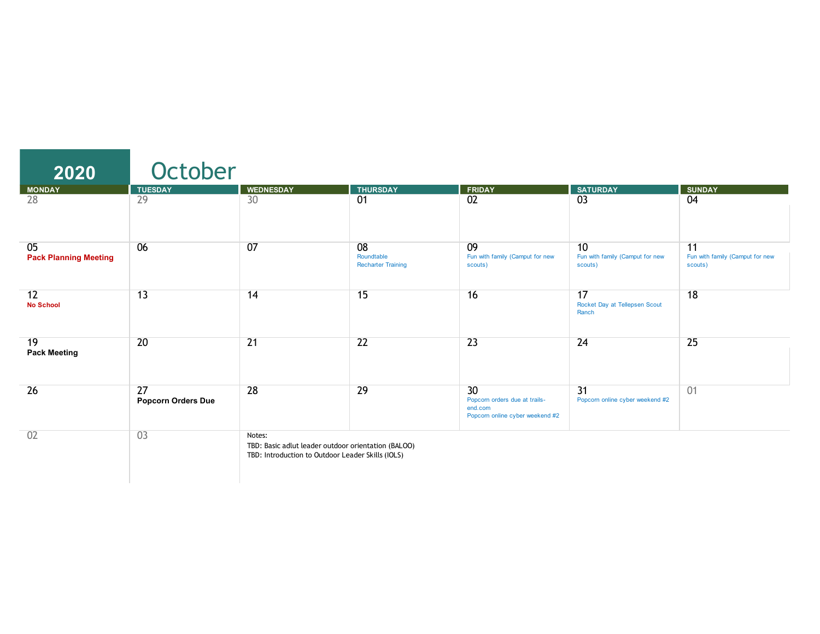| 2020                               | October                         |                                                                                                                    |                                               |                                                                                   |                                                  |                                                  |
|------------------------------------|---------------------------------|--------------------------------------------------------------------------------------------------------------------|-----------------------------------------------|-----------------------------------------------------------------------------------|--------------------------------------------------|--------------------------------------------------|
| <b>MONDAY</b>                      | <b>TUESDAY</b>                  | <b>WEDNESDAY</b>                                                                                                   | <b>THURSDAY</b>                               | <b>FRIDAY</b>                                                                     | <b>SATURDAY</b>                                  | <b>SUNDAY</b>                                    |
| 28                                 | 29                              | 30                                                                                                                 | 01                                            | $\overline{02}$                                                                   | 03                                               | 04                                               |
| 05<br><b>Pack Planning Meeting</b> | 06                              | 07                                                                                                                 | 08<br>Roundtable<br><b>Recharter Training</b> | 09<br>Fun with family (Camput for new<br>scouts)                                  | 10<br>Fun with family (Camput for new<br>scouts) | 11<br>Fun with family (Camput for new<br>scouts) |
| 12<br><b>No School</b>             | 13                              | 14                                                                                                                 | 15                                            | 16                                                                                | 17<br>Rocket Day at Tellepsen Scout<br>Ranch     | 18                                               |
| 19<br><b>Pack Meeting</b>          | 20                              | $\overline{21}$                                                                                                    | 22                                            | $\overline{23}$                                                                   | 24                                               | 25                                               |
| 26                                 | 27<br><b>Popcorn Orders Due</b> | 28                                                                                                                 | 29                                            | 30<br>Popcorn orders due at trails-<br>end.com<br>Popcorn online cyber weekend #2 | 31<br>Popcorn online cyber weekend #2            | 01                                               |
| 02                                 | 03                              | Notes:<br>TBD: Basic adlut leader outdoor orientation (BALOO)<br>TBD: Introduction to Outdoor Leader Skills (IOLS) |                                               |                                                                                   |                                                  |                                                  |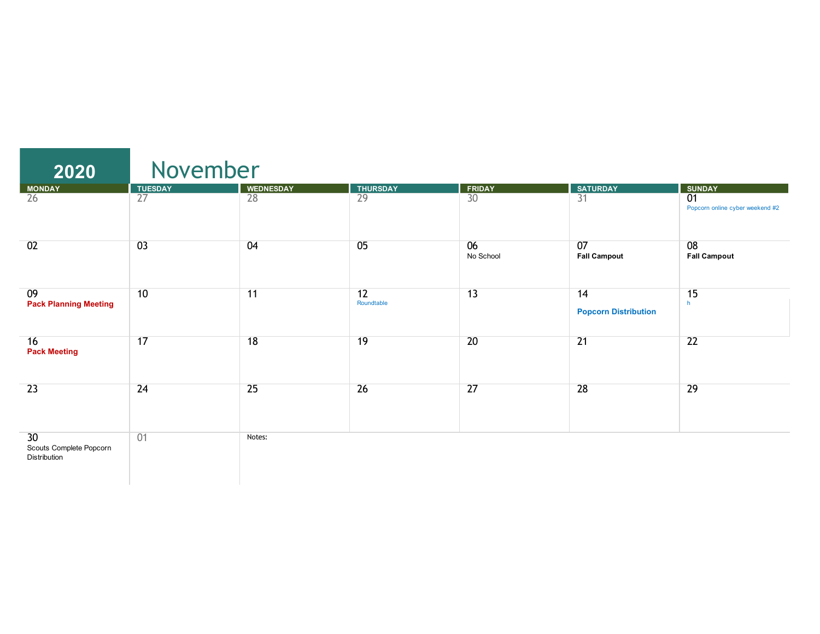| 2020                                          | November        |                  |                  |                 |                                   |                                                    |  |  |
|-----------------------------------------------|-----------------|------------------|------------------|-----------------|-----------------------------------|----------------------------------------------------|--|--|
| <b>MONDAY</b>                                 | <b>TUESDAY</b>  | <b>WEDNESDAY</b> | <b>THURSDAY</b>  | <b>FRIDAY</b>   | <b>SATURDAY</b>                   | <b>SUNDAY</b>                                      |  |  |
| $\overline{26}$                               | $\overline{27}$ | 28               | $\overline{29}$  | 30              | $\overline{31}$                   | $\overline{01}$<br>Popcorn online cyber weekend #2 |  |  |
| 02                                            | 03              | 04               | 05               | 06<br>No School | 07<br><b>Fall Campout</b>         | 08<br><b>Fall Campout</b>                          |  |  |
| 09<br><b>Pack Planning Meeting</b>            | 10              | 11               | 12<br>Roundtable | 13              | 14<br><b>Popcorn Distribution</b> | 15<br>h                                            |  |  |
| 16<br><b>Pack Meeting</b>                     | 17              | 18               | 19               | 20              | $\overline{21}$                   | $\overline{22}$                                    |  |  |
| 23                                            | 24              | 25               | 26               | 27              | 28                                | 29                                                 |  |  |
| 30<br>Scouts Complete Popcorn<br>Distribution | 01              | Notes:           |                  |                 |                                   |                                                    |  |  |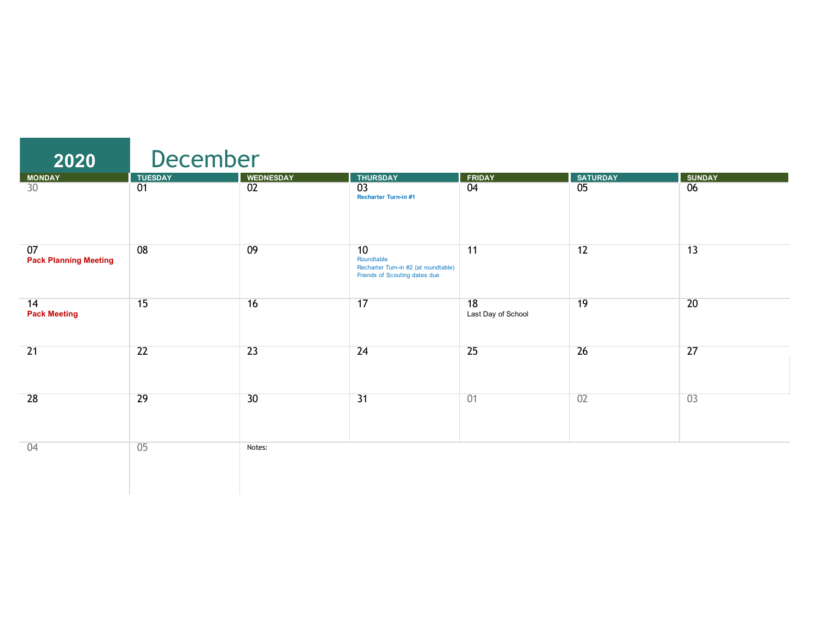| 2020                               | December        |                  |                                                                                           |                          |                 |               |
|------------------------------------|-----------------|------------------|-------------------------------------------------------------------------------------------|--------------------------|-----------------|---------------|
|                                    | <b>TUESDAY</b>  | <b>WEDNESDAY</b> | <b>THURSDAY</b>                                                                           | <b>FRIDAY</b>            | <b>SATURDAY</b> | <b>SUNDAY</b> |
| MONDAY<br>30                       | $\overline{01}$ | 02               | 03<br>Recharter Turn-in #1                                                                | 04                       | $\overline{05}$ | 06            |
| 07<br><b>Pack Planning Meeting</b> | 08              | 09               | 10<br>Roundtable<br>Recharter Turn-in #2 (at roundtable)<br>Friends of Scouting dates due | 11                       | 12              | 13            |
| 14<br><b>Pack Meeting</b>          | 15              | 16               | 17                                                                                        | 18<br>Last Day of School | 19              | 20            |
| $\overline{21}$                    | 22              | 23               | 24                                                                                        | 25                       | 26              | 27            |
| 28                                 | 29              | 30               | $\overline{31}$                                                                           | 01                       | 02              | 03            |
| 04                                 | 05              | Notes:           |                                                                                           |                          |                 |               |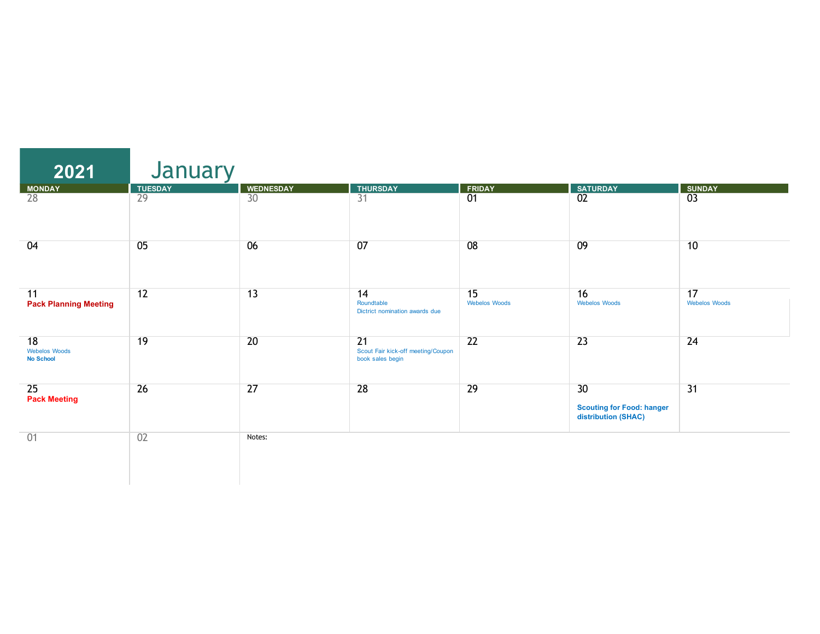| 2021                                           | January         |                  |                                                                           |                            |                                                               |                            |
|------------------------------------------------|-----------------|------------------|---------------------------------------------------------------------------|----------------------------|---------------------------------------------------------------|----------------------------|
| <b>MONDAY</b>                                  | <b>TUESDAY</b>  | <b>WEDNESDAY</b> | <b>THURSDAY</b>                                                           | <b>FRIDAY</b>              | <b>SATURDAY</b>                                               | <b>SUNDAY</b>              |
| 28                                             | $\overline{29}$ | 30               | $\overline{31}$                                                           | $\overline{01}$            | $\overline{02}$                                               | $\overline{03}$            |
| 04                                             | 05              | 06               | 07                                                                        | 08                         | 09                                                            | 10                         |
| 11<br><b>Pack Planning Meeting</b>             | 12              | $\overline{13}$  | 14<br>Roundtable<br>Dictrict nomination awards due                        | 15<br><b>Webelos Woods</b> | 16<br><b>Webelos Woods</b>                                    | 17<br><b>Webelos Woods</b> |
| 18<br><b>Webelos Woods</b><br><b>No School</b> | 19              | $\overline{20}$  | $\overline{21}$<br>Scout Fair kick-off meeting/Coupon<br>book sales begin | $\overline{22}$            | $\overline{23}$                                               | 24                         |
| 25<br><b>Pack Meeting</b>                      | 26              | $\overline{27}$  | 28                                                                        | 29                         | 30<br><b>Scouting for Food: hanger</b><br>distribution (SHAC) | $\overline{31}$            |
| 01                                             | 02              | Notes:           |                                                                           |                            |                                                               |                            |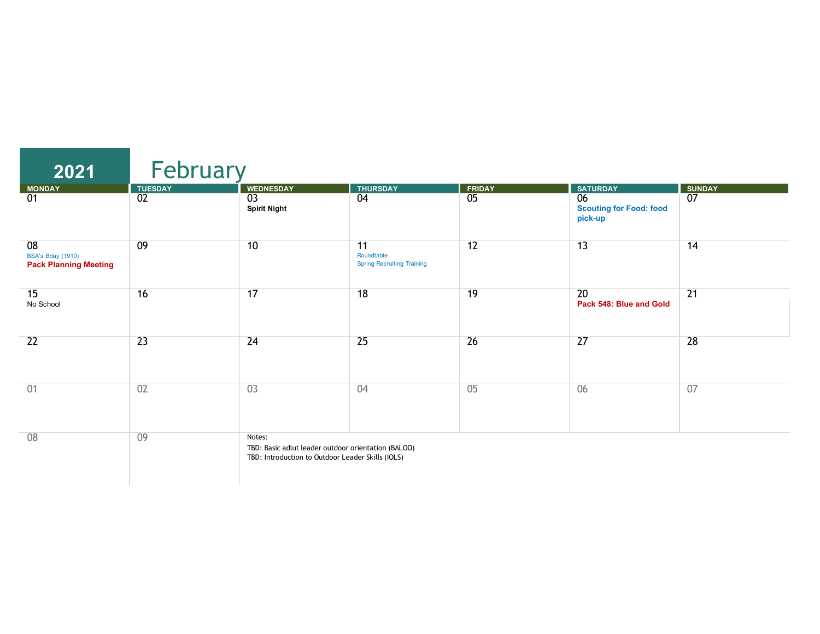| 2021                                                           | February        |                                                                                                                    |                                                       |                 |                                                              |                 |
|----------------------------------------------------------------|-----------------|--------------------------------------------------------------------------------------------------------------------|-------------------------------------------------------|-----------------|--------------------------------------------------------------|-----------------|
| <b>MONDAY</b>                                                  | <b>TUESDAY</b>  | <b>WEDNESDAY</b>                                                                                                   | <b>THURSDAY</b>                                       | <b>FRIDAY</b>   | <b>SATURDAY</b>                                              | <b>SUNDAY</b>   |
| $\overline{01}$                                                | 02              | $\overline{03}$<br><b>Spirit Night</b>                                                                             | 04                                                    | $\overline{05}$ | $\overline{06}$<br><b>Scouting for Food: food</b><br>pick-up | $\overline{07}$ |
| 08<br><b>BSA's Bday (1910)</b><br><b>Pack Planning Meeting</b> | 09              | 10                                                                                                                 | 11<br>Roundtable<br><b>Spring Recruiting Training</b> | 12              | 13                                                           | 14              |
| 15<br>No School                                                | 16              | 17                                                                                                                 | 18                                                    | 19              | 20<br>Pack 548: Blue and Gold                                | $\overline{21}$ |
| $\overline{22}$                                                | $\overline{23}$ | 24                                                                                                                 | 25                                                    | $\overline{26}$ | 27                                                           | 28              |
| 01                                                             | 02              | 03                                                                                                                 | 04                                                    | 05              | 06                                                           | 07              |
| 08                                                             | 09              | Notes:<br>TBD: Basic adlut leader outdoor orientation (BALOO)<br>TBD: Introduction to Outdoor Leader Skills (IOLS) |                                                       |                 |                                                              |                 |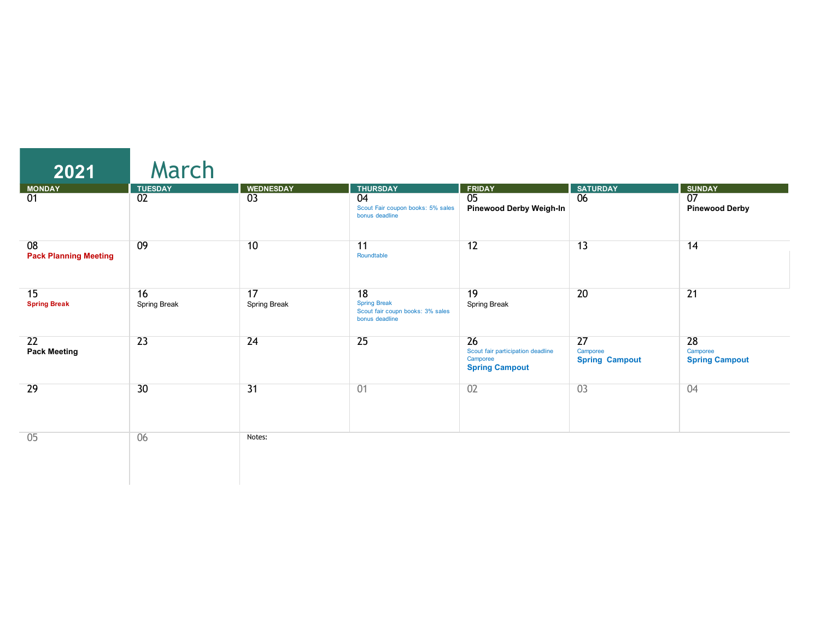| 2021                               | March                             |                                     |                                                                                 |                                                                              |                                         |                                                           |
|------------------------------------|-----------------------------------|-------------------------------------|---------------------------------------------------------------------------------|------------------------------------------------------------------------------|-----------------------------------------|-----------------------------------------------------------|
| <b>MONDAY</b><br>01                | <b>TUESDAY</b><br>$\overline{02}$ | <b>WEDNESDAY</b><br>$\overline{03}$ | <b>THURSDAY</b><br>04<br>Scout Fair coupon books: 5% sales<br>bonus deadline    | <b>FRIDAY</b><br>$\overline{05}$<br><b>Pinewood Derby Weigh-In</b>           | SATURDAY<br>$\overline{06}$             | <b>SUNDAY</b><br>$\overline{07}$<br><b>Pinewood Derby</b> |
| 08<br><b>Pack Planning Meeting</b> | 09                                | 10                                  | 11<br>Roundtable                                                                | 12                                                                           | 13                                      | 14                                                        |
| 15<br><b>Spring Break</b>          | 16<br>Spring Break                | 17<br>Spring Break                  | 18<br><b>Spring Break</b><br>Scout fair coupn books: 3% sales<br>bonus deadline | 19<br>Spring Break                                                           | 20                                      | $\overline{21}$                                           |
| 22<br><b>Pack Meeting</b>          | $\overline{23}$                   | 24                                  | 25                                                                              | 26<br>Scout fair participation deadline<br>Camporee<br><b>Spring Campout</b> | 27<br>Camporee<br><b>Spring Campout</b> | 28<br>Camporee<br><b>Spring Campout</b>                   |
| 29                                 | 30                                | $\overline{31}$                     | 01                                                                              | 02                                                                           | 03                                      | 04                                                        |
| 05                                 | 06                                | Notes:                              |                                                                                 |                                                                              |                                         |                                                           |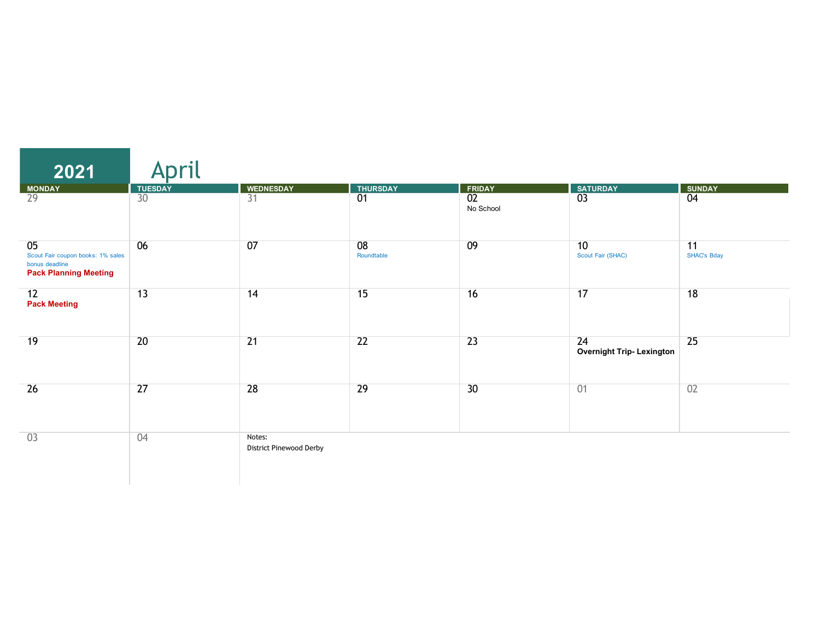| 2021                                                                                      | nril            |                                   |                  |                              |                                       |                   |
|-------------------------------------------------------------------------------------------|-----------------|-----------------------------------|------------------|------------------------------|---------------------------------------|-------------------|
| MONDAY                                                                                    | <b>TUESDAY</b>  | <b>WEDNESDAY</b>                  | <b>THURSDAY</b>  | <b>FRIDAY</b>                | <b>SATURDAY</b>                       | <b>SUNDAY</b>     |
| $\overline{29}$                                                                           | $\overline{30}$ | $\overline{31}$                   | $\overline{01}$  | $\overline{02}$<br>No School | $\overline{03}$                       | $\overline{04}$   |
| 05<br>Scout Fair coupon books: 1% sales<br>bonus deadline<br><b>Pack Planning Meeting</b> | 06              | 07                                | 08<br>Roundtable | 09                           | 10<br>Scout Fair (SHAC)               | 11<br>SHAC's Bday |
| 12<br><b>Pack Meeting</b>                                                                 | 13              | 14                                | 15               | 16                           | 17                                    | 18                |
| 19                                                                                        | $\overline{20}$ | $\overline{21}$                   | $\overline{22}$  | $\overline{23}$              | 24<br><b>Overnight Trip-Lexington</b> | 25                |
| 26                                                                                        | $\overline{27}$ | 28                                | 29               | 30                           | 01                                    | 02                |
| 03                                                                                        | 04              | Notes:<br>District Pinewood Derby |                  |                              |                                       |                   |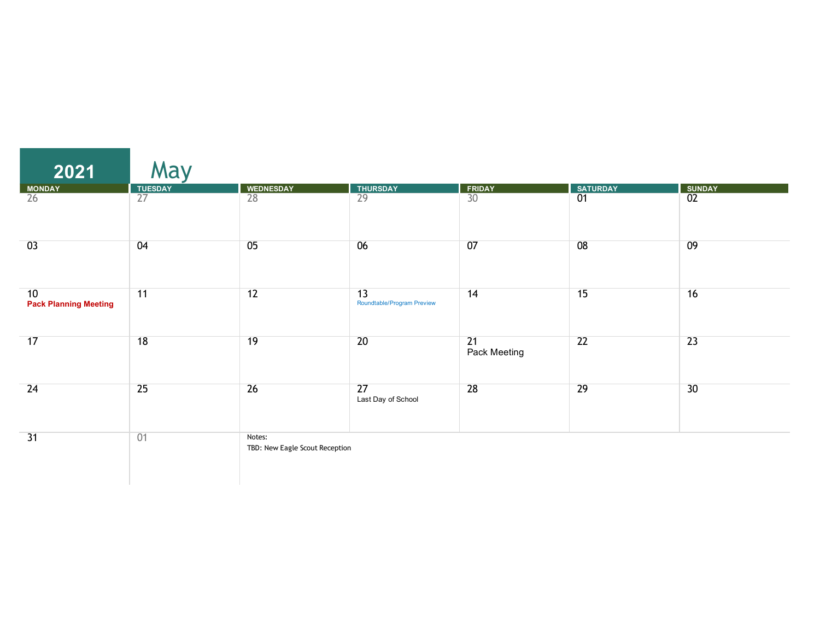| 2021                               | May             |                                          |                                               |                    |                 |                 |
|------------------------------------|-----------------|------------------------------------------|-----------------------------------------------|--------------------|-----------------|-----------------|
| MONDAY                             |                 | <b>WEDNESDAY</b>                         | <b>THURSDAY</b>                               | FRIDAY             | <b>SATURDAY</b> | <b>SUNDAY</b>   |
| $\overline{26}$                    | TUESDAY<br>27   | 28                                       | $\overline{29}$                               | $\overline{30}$    | $\overline{01}$ | $\overline{02}$ |
| 03                                 | 04              | 05                                       | 06                                            | 07                 | 08              | 09              |
| 10<br><b>Pack Planning Meeting</b> | 11              | 12                                       | $\overline{13}$<br>Roundtable/Program Preview | 14                 | 15              | 16              |
| 17                                 | 18              | 19                                       | 20                                            | 21<br>Pack Meeting | 22              | $\overline{23}$ |
| 24                                 | $\overline{25}$ | $\overline{26}$                          | 27<br>Last Day of School                      | 28                 | 29              | 30              |
| 31                                 | 01              | Notes:<br>TBD: New Eagle Scout Reception |                                               |                    |                 |                 |